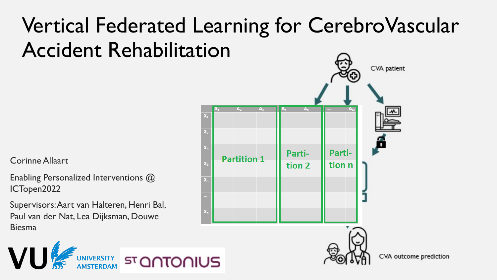## Vertical Federated Learning for CerebroVascular Accident Rehabilitation

Corinne Allaart

VU

Enabling Personalized Interventions @ ICTopen2022

Supervisors: Aart van Halteren, Henri Bal, Paul van der Nat, Lea Dijksman, Douwe Biesma

UNIVERSITY



CVA outcome prediction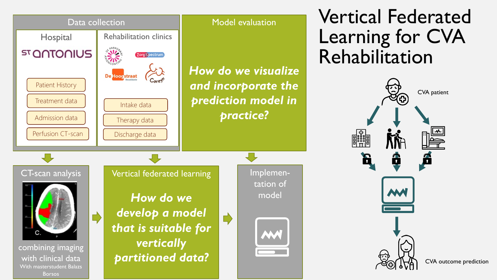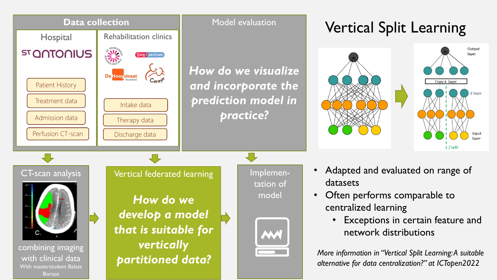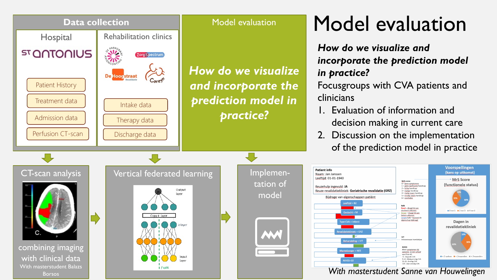